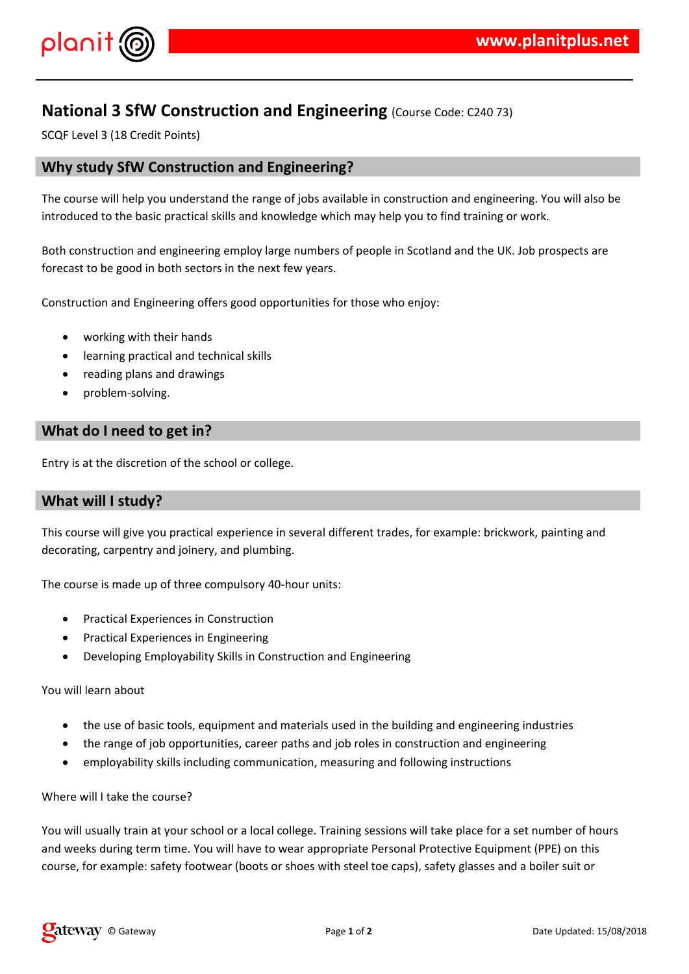

# **National 3 SfW Construction and Engineering** (Course Code: C240 73)

SCQF Level 3 (18 Credit Points)

## **Why study SfW Construction and Engineering?**

The course will help you understand the range of jobs available in construction and engineering. You will also be introduced to the basic practical skills and knowledge which may help you to find training or work.

Both construction and engineering employ large numbers of people in Scotland and the UK. Job prospects are forecast to be good in both sectors in the next few years.

Construction and Engineering offers good opportunities for those who enjoy:

- working with their hands
- learning practical and technical skills
- reading plans and drawings
- problem-solving.

# **What do I need to get in?**

Entry is at the discretion of the school or college.

## **What will I study?**

This course will give you practical experience in several different trades, for example: brickwork, painting and decorating, carpentry and joinery, and plumbing.

The course is made up of three compulsory 40-hour units:

- Practical Experiences in Construction
- Practical Experiences in Engineering
- Developing Employability Skills in Construction and Engineering

You will learn about

- the use of basic tools, equipment and materials used in the building and engineering industries
- the range of job opportunities, career paths and job roles in construction and engineering
- employability skills including communication, measuring and following instructions

#### Where will I take the course?

You will usually train at your school or a local college. Training sessions will take place for a set number of hours and weeks during term time. You will have to wear appropriate Personal Protective Equipment (PPE) on this course, for example: safety footwear (boots or shoes with steel toe caps), safety glasses and a boiler suit or